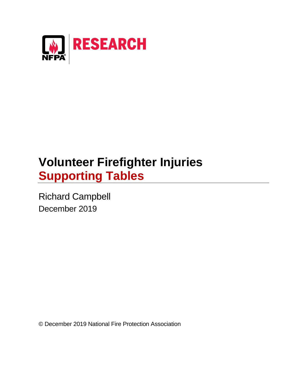

# **Volunteer Firefighter Injuries Supporting Tables**

Richard Campbell December 2019

© December 2019 National Fire Protection Association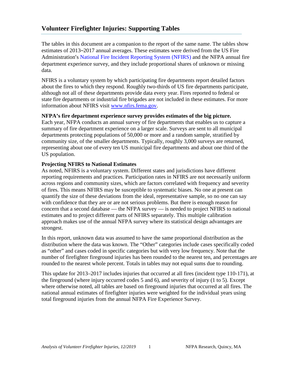# **Volunteer Firefighter Injuries: Supporting Tables**

The tables in this document are a companion to the report of the same name. The tables show estimates of 2013–2017 annual averages. These estimates were derived from the US Fire Administration's [National Fire Incident Reporting System \(NFIRS\)](https://www.usfa.fema.gov/data/nfirs/) and the NFPA annual fire department experience survey, and they include proportional shares of unknown or missing data.

NFIRS is a voluntary system by which participating fire departments report detailed factors about the fires to which they respond. Roughly two-thirds of US fire departments participate, although not all of these departments provide data every year. Fires reported to federal or state fire departments or industrial fire brigades are not included in these estimates. For more information about NFIRS visit [www.nfirs.fema.gov.](http://www.nfirs.fema.gov/)

## **NFPA's fire department experience survey provides estimates of the big picture.**

Each year, NFPA conducts an annual survey of fire departments that enables us to capture a summary of fire department experience on a larger scale. Surveys are sent to all municipal departments protecting populations of 50,000 or more and a random sample, stratified by community size, of the smaller departments. Typically, roughly 3,000 surveys are returned, representing about one of every ten US municipal fire departments and about one third of the US population.

## **Projecting NFIRS to National Estimates**

As noted, NFIRS is a voluntary system. Different states and jurisdictions have different reporting requirements and practices. Participation rates in NFIRS are not necessarily uniform across regions and community sizes, which are factors correlated with frequency and severity of fires. This means NFIRS may be susceptible to systematic biases. No one at present can quantify the size of these deviations from the ideal, representative sample, so no one can say with confidence that they are or are not serious problems. But there is enough reason for concern that a second database — the NFPA survey — is needed to project NFIRS to national estimates and to project different parts of NFIRS separately. This multiple calibration approach makes use of the annual NFPA survey where its statistical design advantages are strongest.

In this report, unknown data was assumed to have the same proportional distribution as the distribution where the data was known. The "Other" categories include cases specifically coded as "other" and cases coded in specific categories but with very low frequency. Note that the number of firefighter fireground injuries has been rounded to the nearest ten, and percentages are rounded to the nearest whole percent. Totals in tables may not equal sums due to rounding.

This update for 2013–2017 includes injuries that occurred at all fires (incident type 110-171), at the fireground (where injury occurred codes 5 and 6), and severity of injury (1 to 5). Except where otherwise noted, all tables are based on fireground injuries that occurred at all fires. The national annual estimates of firefighter injuries were weighted for the individual years using total fireground injuries from the annual NFPA Fire Experience Survey.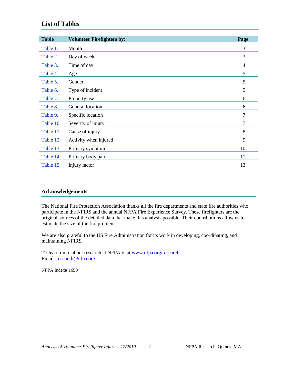# **List of Tables**

| <b>Table</b> | <b>Volunteer Firefighters by:</b> | Page |
|--------------|-----------------------------------|------|
| Table 1.     | Month                             | 3    |
| Table 2.     | Day of week                       | 3    |
| Table 3.     | Time of day                       | 4    |
| Table 4.     | Age                               | 5    |
| Table 5.     | Gender                            | 5    |
| Table 6.     | Type of incident                  | 5    |
| Table 7.     | Property use                      | 6    |
| Table 8.     | General location                  | 6    |
| Table 9.     | Specific location                 | 7    |
| Table 10.    | Severity of injury                | 7    |
| Table 11.    | Cause of injury                   | 8    |
| Table 12.    | Activity when injured             | 9    |
| Table 13.    | Primary symptom                   | 10   |
| Table 14.    | Primary body part                 | 11   |
| Table 15.    | Injury factor                     | 13   |

### **Acknowledgements**

The National Fire Protection Association thanks all the fire departments and state fire authorities who participate in the NFIRS and the annual NFPA Fire Experience Survey. These firefighters are the original sources of the detailed data that make this analysis possible. Their contributions allow us to estimate the size of the fire problem.

We are also grateful to the US Fire Administration for its work in developing, coordinating, and maintaining NFIRS.

To learn more about research at NFPA visit [www.nfpa.org/research.](http://www.nfpa.org/research) Email: [research@nfpa.org](mailto:research@nfpa.org)

NFPA Index# 1658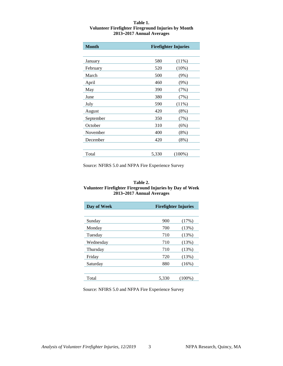#### <span id="page-3-0"></span>**Table 1. Volunteer Firefighter Fireground Injuries by Month 2013–2017 Annual Averages**

| <b>Month</b> |       | <b>Firefighter Injuries</b> |
|--------------|-------|-----------------------------|
|              |       |                             |
| January      | 580   | $(11\%)$                    |
| February     | 520   | $(10\%)$                    |
| March        | 500   | (9%)                        |
| April        | 460   | (9%)                        |
| May          | 390   | (7%)                        |
| June         | 380   | (7%)                        |
| July         | 590   | $(11\%)$                    |
| August       | 420   | (8%)                        |
| September    | 350   | (7%)                        |
| October      | 310   | (6%)                        |
| November     | 400   | (8%)                        |
| December     | 420   | $(8\%)$                     |
|              |       |                             |
| Total        | 5,330 | $(100\%)$                   |

Source: NFIRS 5.0 and NFPA Fire Experience Survey

#### **Table 2. Volunteer Firefighter Fireground Injuries by Day of Week 2013–2017 Annual Averages**

| Day of Week | <b>Firefighter Injuries</b> |        |
|-------------|-----------------------------|--------|
|             |                             |        |
| Sunday      | 900                         | (17%)  |
| Monday      | 700                         | (13%)  |
| Tuesday     | 710                         | (13%)  |
| Wednesday   | 710                         | (13%)  |
| Thursday    | 710                         | (13%)  |
| Friday      | 720                         | (13%)  |
| Saturday    | 880                         | (16%)  |
|             |                             |        |
| Total       | 5,330                       | (100%) |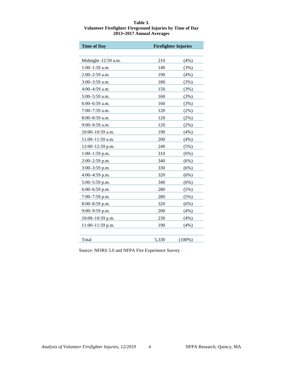#### <span id="page-4-0"></span>**Table 3. Volunteer Firefighter Fireground Injuries by Time of Day 2013–2017 Annual Averages**

| <b>Time of Day</b>  | <b>Firefighter Injuries</b> |           |
|---------------------|-----------------------------|-----------|
|                     |                             |           |
| Midnight-12:59 a.m. | 210                         | (4%)      |
| 1:00-1:59 a.m.      | 140                         | (3%)      |
| $2:00-2:59$ a.m.    | 190                         | (4%)      |
| 3:00-3:59 a.m.      | 180                         | (3%)      |
| $4:00-4:59$ a.m.    | 150                         | (3%)      |
| $5:00-5:59$ a.m.    | 160                         | (3%)      |
| $6:00-6:59$ a.m.    | 160                         | (3%)      |
| 7:00-7:59 a.m.      | 120                         | (2%)      |
| 8:00-8:59 a.m.      | 120                         | $(2\%)$   |
| 9:00-9:59 a.m.      | 120                         | (2%)      |
| $10:00-10:59$ a.m.  | 190                         | (4%)      |
| 11:00-11:59 a.m.    | 200                         | (4%)      |
| 12:00-12:59 p.m.    | 240                         | (5%)      |
| $1:00-1:59$ p.m.    | 310                         | (6%)      |
| 2:00-2:59 p.m.      | 340                         | (6%)      |
| 3:00-3:59 p.m.      | 330                         | (6%)      |
| 4:00-4:59 p.m.      | 320                         | (6%)      |
| 5:00-5:59 p.m.      | 340                         | (6%)      |
| 6:00-6:59 p.m.      | 280                         | (5%)      |
| 7:00-7:59 p.m.      | 280                         | (5%)      |
| 8:00-8:59 p.m.      | 320                         | (6%)      |
| $9:00-9:59$ p.m.    | 200                         | (4%)      |
| 10:00-10:59 p.m.    | 230                         | (4%)      |
| 11:00-11:59 p.m.    | 190                         | (4%)      |
|                     |                             |           |
| Total               | 5,330                       | $(100\%)$ |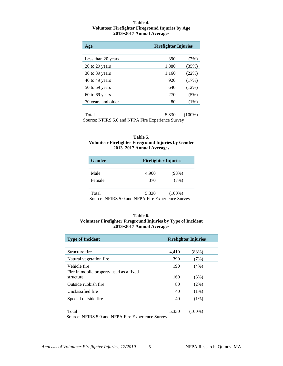#### **Table 4. Volunteer Firefighter Fireground Injuries by Age 2013–2017 Annual Averages**

<span id="page-5-0"></span>

| <b>Firefighter Injuries</b><br>Age |       |         |
|------------------------------------|-------|---------|
|                                    |       |         |
| Less than 20 years                 | 390   | (7%)    |
| 20 to 29 years                     | 1,880 | (35%)   |
| 30 to 39 years                     | 1,160 | (22%)   |
| 40 to 49 years                     | 920   | (17%)   |
| 50 to 59 years                     | 640   | (12%)   |
| 60 to 69 years                     | 270   | (5%)    |
| 70 years and older                 | 80    | $(1\%)$ |
|                                    |       |         |
| m. 1                               | 5.222 | (1000)  |

Total 5,330 (100%) Source: NFIRS 5.0 and NFPA Fire Experience Survey

#### **Table 5. Volunteer Firefighter Fireground Injuries by Gender 2013–2017 Annual Averages**

| <b>Gender</b>                                                       |       | <b>Firefighter Injuries</b> |  |  |
|---------------------------------------------------------------------|-------|-----------------------------|--|--|
|                                                                     |       |                             |  |  |
| Male                                                                | 4,960 | (93%)                       |  |  |
| Female                                                              | 370   | (7%)                        |  |  |
|                                                                     |       |                             |  |  |
| Total                                                               | 5,330 | $(100\%)$                   |  |  |
| $Source \cdot NFIRST \leq 6$ and $NFP\Delta$ Fire Experience Survey |       |                             |  |  |

Source: NFIRS 5.0 and NFPA Fire Experience Survey

#### **Table 6. Volunteer Firefighter Fireground Injuries by Type of Incident 2013–2017 Annual Averages**

| <b>Type of Incident</b>                 |       | <b>Firefighter Injuries</b> |
|-----------------------------------------|-------|-----------------------------|
|                                         |       |                             |
| Structure fire                          | 4,410 | (83%)                       |
| Natural vegetation fire.                | 390   | (7%)                        |
| Vehicle fire                            | 190   | $(4\%)$                     |
| Fire in mobile property used as a fixed |       |                             |
| structure                               | 160   | (3%)                        |
| Outside rubbish fire                    | 80    | $(2\%)$                     |
| Unclassified fire                       | 40    | $(1\%)$                     |
| Special outside fire                    | 40    | $(1\%)$                     |
|                                         |       |                             |
| Total                                   | 5,330 | (100%)                      |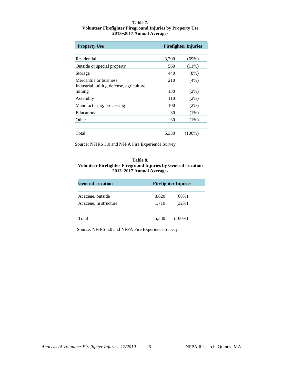#### <span id="page-6-0"></span>**Table 7. Volunteer Firefighter Fireground Injuries by Property Use 2013–2017 Annual Averages**

| <b>Property Use</b>                        | <b>Firefighter Injuries</b> |          |
|--------------------------------------------|-----------------------------|----------|
|                                            |                             |          |
| Residential                                | 3,700                       | $(69\%)$ |
| Outside or special property                | 560                         | $(11\%)$ |
| Storage                                    | 440                         | (8%)     |
| Mercantile or business                     | 210                         | $(4\%)$  |
| Industrial, utility, defense, agriculture, |                             |          |
| mining                                     | 130                         | $(2\%)$  |
| Assembly                                   | 110                         | $(2\%)$  |
| Manufacturing, processing                  | 100                         | $(2\%)$  |
| Educational                                | 30                          | $(1\%)$  |
| Other                                      | 30                          | $(1\%)$  |
|                                            |                             |          |
| Total                                      | 5.330                       | (100%)   |

Source: NFIRS 5.0 and NFPA Fire Experience Survey

#### **Table 8. Volunteer Firefighter Fireground Injuries by General Location 2013–2017 Annual Averages**

| <b>General Location</b> | <b>Firefighter Injuries</b> |           |  |
|-------------------------|-----------------------------|-----------|--|
|                         |                             |           |  |
| At scene, outside       | 3,620                       | $(68\%)$  |  |
| At scene, in structure  | 1,710                       | $(32\%)$  |  |
|                         |                             |           |  |
| Total                   | 5,330                       | $(100\%)$ |  |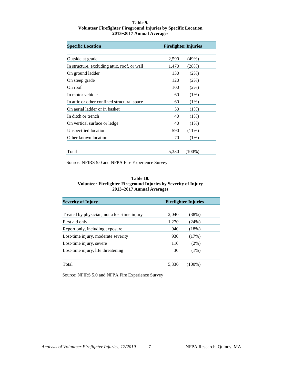#### **Table 9. Volunteer Firefighter Fireground Injuries by Specific Location 2013–2017 Annual Averages**

<span id="page-7-0"></span>

| <b>Specific Location</b>                     |       | <b>Firefighter Injuries</b> |
|----------------------------------------------|-------|-----------------------------|
| Outside at grade                             | 2,590 | $(49\%)$                    |
| In structure, excluding attic, roof, or wall | 1,470 | (28%)                       |
| On ground ladder                             | 130   | $(2\%)$                     |
| On steep grade                               | 120   | $(2\%)$                     |
| On roof                                      | 100   | $(2\%)$                     |
| In motor vehicle                             | 60    | $(1\%)$                     |
| In attic or other confined structural space  | 60    | $(1\%)$                     |
| On aerial ladder or in basket                | 50    | $(1\%)$                     |
| In ditch or trench                           | 40    | $(1\%)$                     |
| On vertical surface or ledge                 | 40    | $(1\%)$                     |
| Unspecified location                         | 590   | $(11\%)$                    |
| Other known location                         | 70    | $(1\%)$                     |
| Total                                        | 5,330 | $(100\%)$                   |

Source: NFIRS 5.0 and NFPA Fire Experience Survey

#### **Table 10. Volunteer Firefighter Fireground Injuries by Severity of Injury 2013–2017 Annual Averages**

| <b>Severity of Injury</b>                    | <b>Firefighter Injuries</b> |         |
|----------------------------------------------|-----------------------------|---------|
|                                              |                             |         |
| Treated by physician, not a lost-time injury | 2,040                       | (38%)   |
| First aid only                               | 1,270                       | (24%)   |
| Report only, including exposure              | 940                         | (18%)   |
| Lost-time injury, moderate severity          | 930                         | (17%)   |
| Lost-time injury, severe                     | 110                         | $(2\%)$ |
| Lost-time injury, life threatening           | 30                          | $(1\%)$ |
| Total                                        | 5.330                       | (100%)  |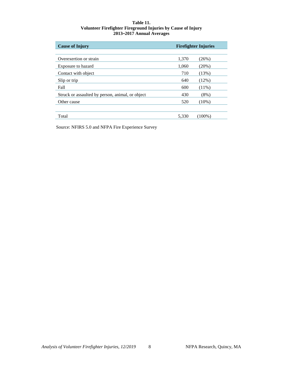#### **Table 11. Volunteer Firefighter Fireground Injuries by Cause of Injury 2013–2017 Annual Averages**

<span id="page-8-0"></span>

| <b>Cause of Injury</b>                           | <b>Firefighter Injuries</b> |          |
|--------------------------------------------------|-----------------------------|----------|
|                                                  |                             |          |
| Overexertion or strain                           | 1,370                       | (26%)    |
| Exposure to hazard                               | 1,060                       | $(20\%)$ |
| Contact with object                              | 710                         | (13%)    |
| Slip or trip                                     | 640                         | (12%)    |
| Fall                                             | 600                         | $(11\%)$ |
| Struck or assaulted by person, animal, or object | 430                         | $(8\%)$  |
| Other cause                                      | 520                         | $(10\%)$ |
|                                                  |                             |          |
| Total                                            | 5.330                       | (100%)   |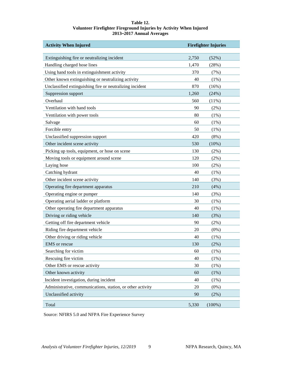#### **Table 12. Volunteer Firefighter Fireground Injuries by Activity When Injured 2013–2017 Annual Averages**

<span id="page-9-0"></span>

| <b>Activity When Injured</b>                               | <b>Firefighter Injuries</b> |           |
|------------------------------------------------------------|-----------------------------|-----------|
| Extinguishing fire or neutralizing incident                | 2,750                       | (52%)     |
| Handling charged hose lines                                | 1,470                       | (28%)     |
| Using hand tools in extinguishment activity                | 370                         | (7%)      |
| Other known extinguishing or neutralizing activity         | 40                          | (1%)      |
| Unclassified extinguishing fire or neutralizing incident   | 870                         | (16%)     |
| Suppression support                                        | 1,260                       | (24%)     |
| Overhaul                                                   | 560                         | (11%)     |
| Ventilation with hand tools                                | 90                          | $(2\%)$   |
| Ventilation with power tools                               | 80                          | $(1\%)$   |
| Salvage                                                    | 60                          | (1%)      |
| Forcible entry                                             | 50                          | $(1\%)$   |
| Unclassified suppression support                           | 420                         | (8%)      |
| Other incident scene activity                              | 530                         | (10%)     |
| Picking up tools, equipment, or hose on scene              | 130                         | $(2\%)$   |
| Moving tools or equipment around scene                     | 120                         | $(2\%)$   |
| Laying hose                                                | 100                         | (2%)      |
| Catching hydrant                                           | 40                          | $(1\%)$   |
| Other incident scene activity                              | 140                         | (3%)      |
| Operating fire department apparatus                        | 210                         | (4%)      |
| Operating engine or pumper                                 | 140                         | (3%)      |
| Operating aerial ladder or platform                        | 30                          | (1%)      |
| Other operating fire department apparatus                  | 40                          | $(1\%)$   |
| Driving or riding vehicle                                  | 140                         | (3%)      |
| Getting off fire department vehicle                        | 90                          | (2%)      |
| Riding fire department vehicle                             | 20                          | $(0\%)$   |
| Other driving or riding vehicle                            | 40                          | $(1\%)$   |
| <b>EMS</b> or rescue                                       | 130                         | (2%)      |
| Searching for victim                                       | 60                          | (1%)      |
| Rescuing fire victim                                       | 40                          | $(1\%)$   |
| Other EMS or rescue activity                               | 30                          | (1%)      |
| Other known activity                                       | 60                          | (1%)      |
| Incident investigation, during incident                    | 40                          | $(1\%)$   |
| Administrative, communications, station, or other activity | 20                          | (0%)      |
| Unclassified activity                                      | 90                          | (2%)      |
|                                                            |                             |           |
| Total                                                      | 5,330                       | $(100\%)$ |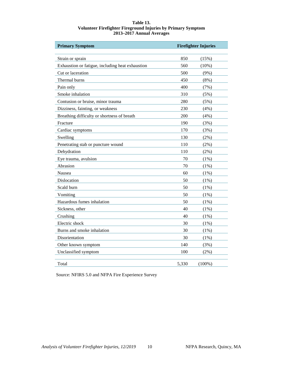#### **Table 13. Volunteer Firefighter Fireground Injuries by Primary Symptom 2013–2017 Annual Averages**

<span id="page-10-0"></span>

| <b>Primary Symptom</b>                           | <b>Firefighter Injuries</b> |           |
|--------------------------------------------------|-----------------------------|-----------|
| Strain or sprain                                 | 850                         | (15%)     |
| Exhaustion or fatigue, including heat exhaustion | 560                         | (10%)     |
| Cut or laceration                                | 500                         | $(9\%)$   |
| Thermal burns                                    | 450                         | $(8\%)$   |
| Pain only                                        | 400                         | (7%)      |
| Smoke inhalation                                 | 310                         | (5%)      |
| Contusion or bruise, minor trauma                | 280                         | (5%)      |
| Dizziness, fainting, or weakness                 | 230                         | (4%)      |
| Breathing difficulty or shortness of breath      | 200                         | (4%)      |
| Fracture                                         | 190                         | (3%)      |
| Cardiac symptoms                                 | 170                         | (3%)      |
| Swelling                                         | 130                         | $(2\%)$   |
| Penetrating stab or puncture wound               | 110                         | $(2\%)$   |
| Dehydration                                      | 110                         | $(2\%)$   |
| Eye trauma, avulsion                             | 70                          | $(1\%)$   |
| Abrasion                                         | 70                          | $(1\%)$   |
| Nausea                                           | 60                          | $(1\%)$   |
| Dislocation                                      | 50                          | $(1\%)$   |
| Scald burn                                       | 50                          | $(1\%)$   |
| Vomiting                                         | 50                          | $(1\%)$   |
| Hazardous fumes inhalation                       | 50                          | (1%)      |
| Sickness, other                                  | 40                          | $(1\%)$   |
| Crushing                                         | 40                          | $(1\%)$   |
| Electric shock                                   | 30                          | $(1\%)$   |
| Burns and smoke inhalation                       | 30                          | $(1\%)$   |
| Disorientation                                   | 30                          | (1%)      |
| Other known symptom                              | 140                         | (3%)      |
| Unclassified symptom                             | 100                         | $(2\%)$   |
| Total                                            | 5,330                       | $(100\%)$ |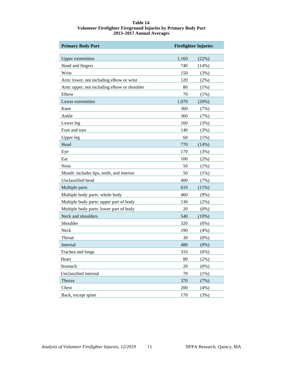#### **Table 14. Volunteer Firefighter Fireground Injuries by Primary Body Part 2013–2017 Annual Averages**

<span id="page-11-0"></span>

| <b>Primary Body Part</b>                    | <b>Firefighter Injuries</b> |         |
|---------------------------------------------|-----------------------------|---------|
|                                             |                             |         |
| <b>Upper extremities</b>                    | 1,160                       | (22%)   |
| Hand and fingers                            | 740                         | (14%)   |
| Wrist                                       | 150                         | (3%)    |
| Arm: lower, not including elbow or wrist    | 120                         | (2%)    |
| Arm: upper, not including elbow or shoulder | 80                          | (1%)    |
| Elbow                                       | 70                          | (1%)    |
| Lower extremities                           | 1,070                       | (20%)   |
| Knee                                        | 360                         | (7%)    |
| Ankle                                       | 360                         | (7%)    |
| Lower leg                                   | 160                         | (3%)    |
| Foot and toes                               | 140                         | (3%)    |
| <b>Upper</b> leg                            | 60                          | (1%)    |
| Head                                        | 770                         | (14%)   |
| Eye                                         | 170                         | (3%)    |
| Ear                                         | 100                         | (2%)    |
| Nose                                        | 50                          | (1%)    |
| Mouth: includes lips, teeth, and interior   | 50                          | (1%)    |
| Unclassified head                           | 400                         | (7%)    |
| Multiple parts                              | 610                         | (11%)   |
| Multiple body parts: whole body             | 460                         | (9%)    |
| Multiple body parts: upper part of body     | 130                         | (2%)    |
| Multiple body parts: lower part of body     | 20                          | (0%)    |
| Neck and shoulders                          | 540                         | (10%)   |
| Shoulder                                    | 320                         | (6%)    |
| Neck                                        | 190                         | (4%)    |
| Throat                                      | 30                          | $(0\%)$ |
| Internal                                    | 480                         | (9%)    |
| Trachea and lungs                           | 310                         | (6%)    |
| Heart                                       | 80                          | $(2\%)$ |
| Stomach                                     | 20                          | (0%)    |
| Unclassified internal                       | 70                          | $(1\%)$ |
| Thorax                                      | 370                         | (7%)    |
| Chest                                       | 200                         | (4%)    |
| Back, except spine                          | 170                         | (3%)    |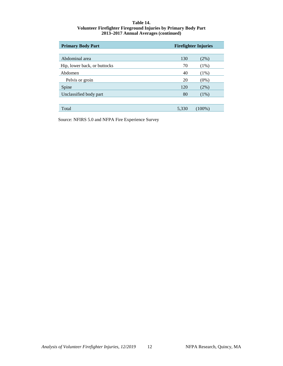#### **Table 14. Volunteer Firefighter Fireground Injuries by Primary Body Part 2013–2017 Annual Averages (continued)**

| <b>Primary Body Part</b>     | <b>Firefighter Injuries</b> |           |
|------------------------------|-----------------------------|-----------|
|                              |                             |           |
| Abdominal area               | 130                         | (2%)      |
| Hip, lower back, or buttocks | 70                          | (1%)      |
| Abdomen                      | 40                          | (1%)      |
| Pelvis or groin              | 20                          | $(0\%)$   |
| Spine                        | 120                         | (2%)      |
| Unclassified body part       | 80                          | $(1\%)$   |
|                              |                             |           |
| Total                        | 5,330                       | $(100\%)$ |